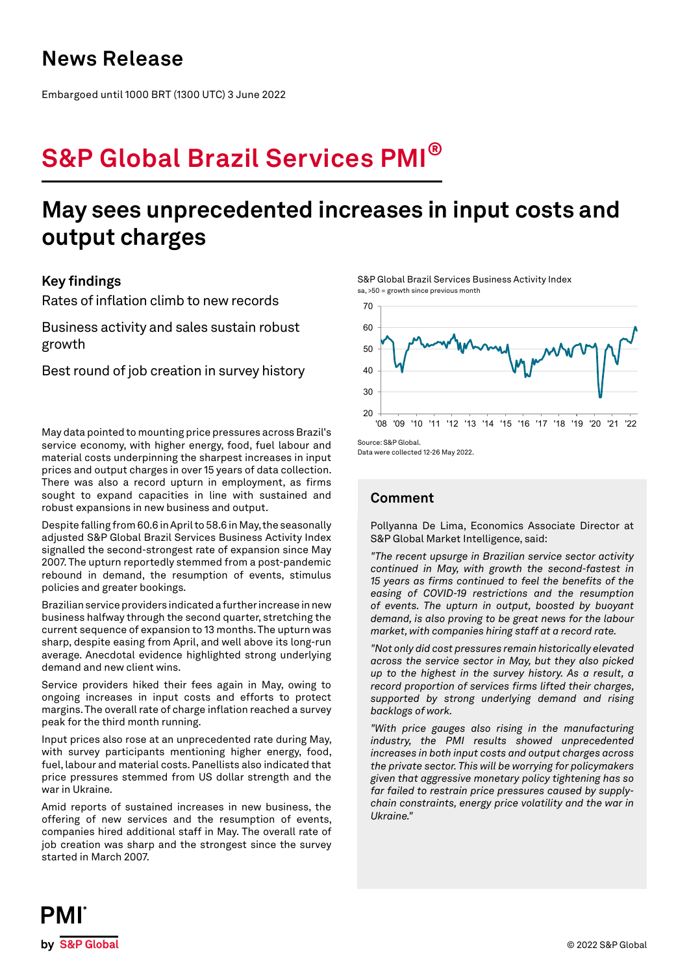### **News Release**

Embargoed until 1000 BRT (1300 UTC) 3 June 2022

# **S&P Global Brazil Services PMI®**

## **May sees unprecedented increases in input costs and output charges**

### **Key findings**

Rates of inflation climb to new records

Business activity and sales sustain robust growth

Best round of job creation in survey history

May data pointed to mounting price pressures across Brazil's service economy, with higher energy, food, fuel labour and material costs underpinning the sharpest increases in input prices and output charges in over 15 years of data collection. There was also a record upturn in employment, as firms sought to expand capacities in line with sustained and robust expansions in new business and output.

Despite falling from 60.6 in April to 58.6 in May, the seasonally adjusted S&P Global Brazil Services Business Activity Index signalled the second-strongest rate of expansion since May 2007. The upturn reportedly stemmed from a post-pandemic rebound in demand, the resumption of events, stimulus policies and greater bookings.

Brazilian service providers indicated a further increase in new business halfway through the second quarter, stretching the current sequence of expansion to 13 months. The upturn was sharp, despite easing from April, and well above its long-run average. Anecdotal evidence highlighted strong underlying demand and new client wins.

Service providers hiked their fees again in May, owing to ongoing increases in input costs and efforts to protect margins. The overall rate of charge inflation reached a survey peak for the third month running.

Input prices also rose at an unprecedented rate during May, with survey participants mentioning higher energy, food, fuel, labour and material costs. Panellists also indicated that price pressures stemmed from US dollar strength and the war in Ukraine.

Amid reports of sustained increases in new business, the offering of new services and the resumption of events, companies hired additional staff in May. The overall rate of job creation was sharp and the strongest since the survey started in March 2007.

S&P Global Brazil Services Business Activity Index sa, >50 = growth since previous month



Data were collected 12-26 May 2022.

### **Comment**

Pollyanna De Lima, Economics Associate Director at S&P Global Market Intelligence, said:

*"The recent upsurge in Brazilian service sector activity continued in May, with growth the second-fastest in 15 years as firms continued to feel the benefits of the easing of COVID-19 restrictions and the resumption of events. The upturn in output, boosted by buoyant demand, is also proving to be great news for the labour market, with companies hiring staff at a record rate.*

*"Not only did cost pressures remain historically elevated across the service sector in May, but they also picked up to the highest in the survey history. As a result, a record proportion of services firms lifted their charges, supported by strong underlying demand and rising backlogs of work.*

*"With price gauges also rising in the manufacturing industry, the PMI results showed unprecedented increases in both input costs and output charges across the private sector. This will be worrying for policymakers given that aggressive monetary policy tightening has so far failed to restrain price pressures caused by supplychain constraints, energy price volatility and the war in Ukraine."*

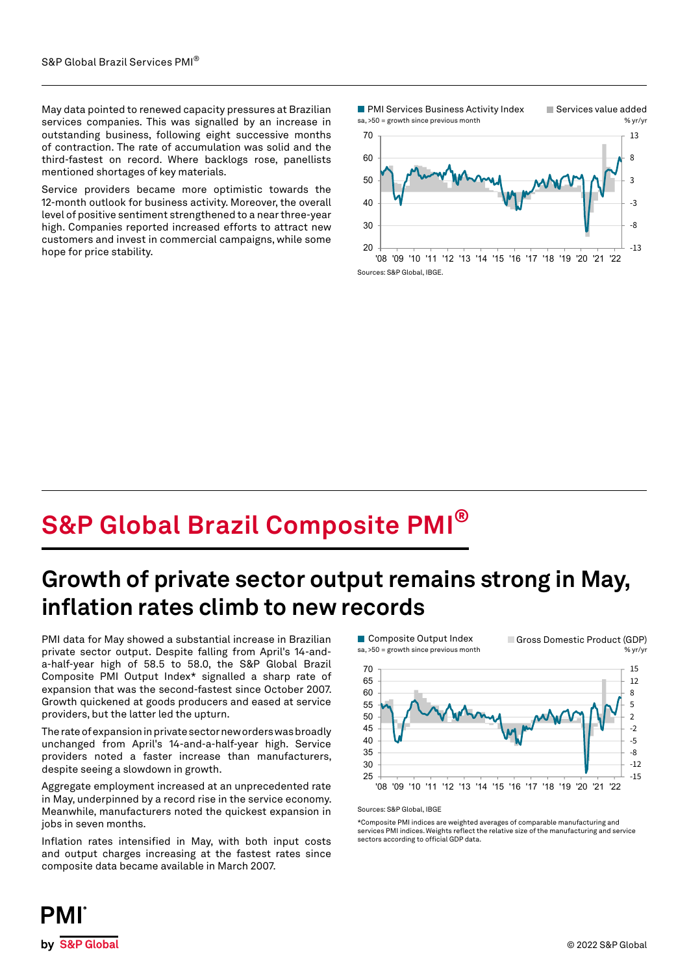May data pointed to renewed capacity pressures at Brazilian services companies. This was signalled by an increase in outstanding business, following eight successive months of contraction. The rate of accumulation was solid and the third-fastest on record. Where backlogs rose, panellists mentioned shortages of key materials.

Service providers became more optimistic towards the 12-month outlook for business activity. Moreover, the overall level of positive sentiment strengthened to a near three-year high. Companies reported increased efforts to attract new customers and invest in commercial campaigns, while some hope for price stability.



## **S&P Global Brazil Composite PMI®**

### **Growth of private sector output remains strong in May, inflation rates climb to new records**

PMI data for May showed a substantial increase in Brazilian private sector output. Despite falling from April's 14-anda-half-year high of 58.5 to 58.0, the S&P Global Brazil Composite PMI Output Index\* signalled a sharp rate of expansion that was the second-fastest since October 2007. Growth quickened at goods producers and eased at service providers, but the latter led the upturn.

The rate of expansion in private sector new orders was broadly unchanged from April's 14-and-a-half-year high. Service providers noted a faster increase than manufacturers, despite seeing a slowdown in growth.

Aggregate employment increased at an unprecedented rate in May, underpinned by a record rise in the service economy. Meanwhile, manufacturers noted the quickest expansion in jobs in seven months.

Inflation rates intensified in May, with both input costs and output charges increasing at the fastest rates since composite data became available in March 2007.



#### Sources: S&P Global, IBGE

\*Composite PMI indices are weighted averages of comparable manufacturing and services PMI indices. Weights reflect the relative size of the manufacturing and service sectors according to official GDP data.